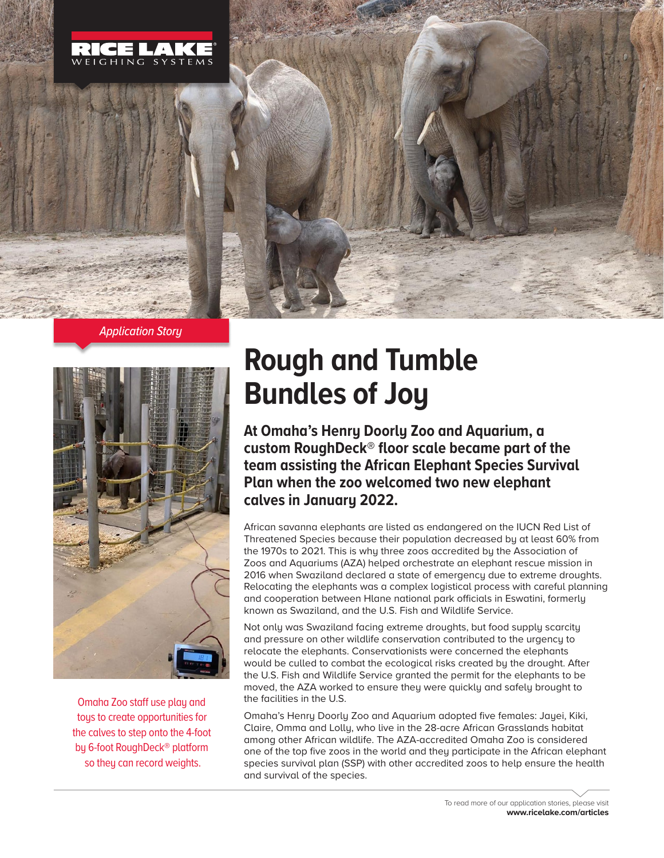





Omaha Zoo staff use play and toys to create opportunities for the calves to step onto the 4-foot by 6-foot RoughDeck® platform so they can record weights.

## **Rough and Tumble Bundles of Joy**

**At Omaha's Henry Doorly Zoo and Aquarium, a custom RoughDeck® floor scale became part of the team assisting the African Elephant Species Survival Plan when the zoo welcomed two new elephant calves in January 2022.**

African savanna elephants are listed as endangered on the IUCN Red List of Threatened Species because their population decreased by at least 60% from the 1970s to 2021. This is why three zoos accredited by the Association of Zoos and Aquariums (AZA) helped orchestrate an elephant rescue mission in 2016 when Swaziland declared a state of emergency due to extreme droughts. Relocating the elephants was a complex logistical process with careful planning and cooperation between Hlane national park officials in Eswatini, formerly known as Swaziland, and the U.S. Fish and Wildlife Service.

Not only was Swaziland facing extreme droughts, but food supply scarcity and pressure on other wildlife conservation contributed to the urgency to relocate the elephants. Conservationists were concerned the elephants would be culled to combat the ecological risks created by the drought. After the U.S. Fish and Wildlife Service granted the permit for the elephants to be moved, the AZA worked to ensure they were quickly and safely brought to the facilities in the U.S.

Omaha's Henry Doorly Zoo and Aquarium adopted five females: Jayei, Kiki, Claire, Omma and Lolly, who live in the 28-acre African Grasslands habitat among other African wildlife. The AZA-accredited Omaha Zoo is considered one of the top five zoos in the world and they participate in the African elephant species survival plan (SSP) with other accredited zoos to help ensure the health and survival of the species.

> To read more of our application stories, please visit **www.ricelake.com/articles**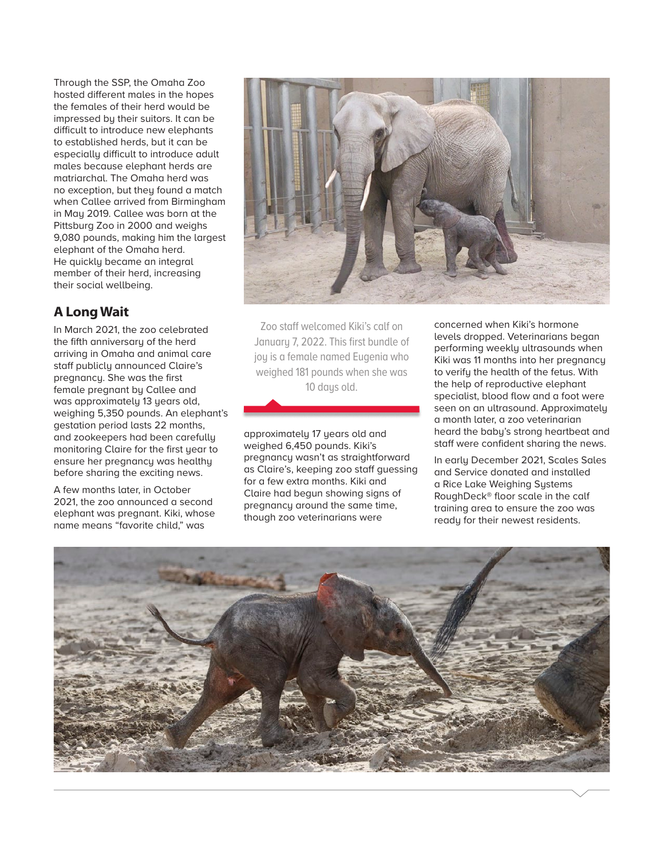Through the SSP, the Omaha Zoo hosted different males in the hopes the females of their herd would be impressed by their suitors. It can be difficult to introduce new elephants to established herds, but it can be especially difficult to introduce adult males because elephant herds are matriarchal. The Omaha herd was no exception, but they found a match when Callee arrived from Birmingham in May 2019. Callee was born at the Pittsburg Zoo in 2000 and weighs 9,080 pounds, making him the largest elephant of the Omaha herd. He quickly became an integral member of their herd, increasing their social wellbeing.

## **A Long Wait**

In March 2021, the zoo celebrated the fifth anniversary of the herd arriving in Omaha and animal care staff publicly announced Claire's pregnancy. She was the first female pregnant by Callee and was approximately 13 years old, weighing 5,350 pounds. An elephant's gestation period lasts 22 months, and zookeepers had been carefully monitoring Claire for the first year to ensure her pregnancy was healthy before sharing the exciting news.

A few months later, in October 2021, the zoo announced a second elephant was pregnant. Kiki, whose name means "favorite child," was



Zoo staff welcomed Kiki's calf on January 7, 2022. This first bundle of joy is a female named Eugenia who weighed 181 pounds when she was 10 days old.

approximately 17 years old and weighed 6,450 pounds. Kiki's pregnancy wasn't as straightforward as Claire's, keeping zoo staff guessing for a few extra months. Kiki and Claire had begun showing signs of pregnancy around the same time, though zoo veterinarians were

concerned when Kiki's hormone levels dropped. Veterinarians began performing weekly ultrasounds when Kiki was 11 months into her pregnancy to verify the health of the fetus. With the help of reproductive elephant specialist, blood flow and a foot were seen on an ultrasound. Approximately a month later, a zoo veterinarian heard the baby's strong heartbeat and staff were confident sharing the news.

In early December 2021, Scales Sales and Service donated and installed a Rice Lake Weighing Systems RoughDeck® floor scale in the calf training area to ensure the zoo was ready for their newest residents.